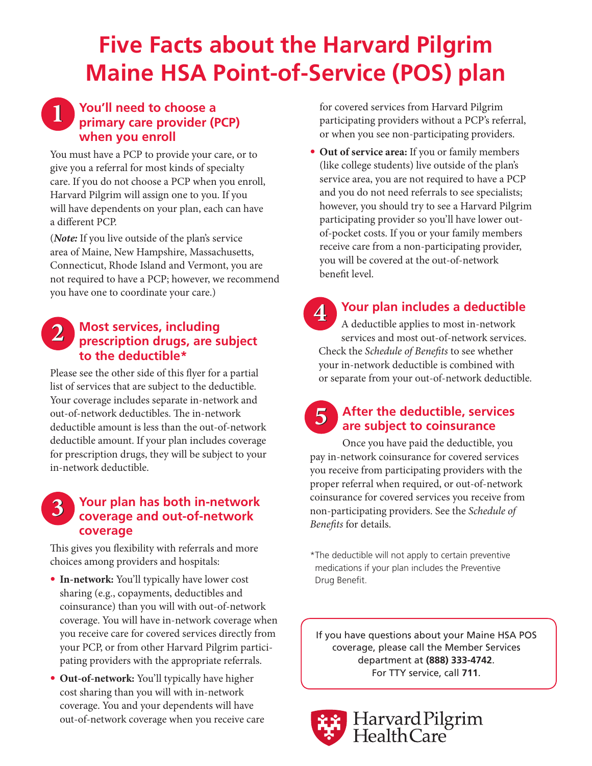# **Five Facts about the Harvard Pilgrim Maine HSA Point-of-Service (POS) plan**

### **You'll need to choose a primary care provider (PCP) when you enroll 1**

You must have a PCP to provide your care, or to give you a referral for most kinds of specialty care. If you do not choose a PCP when you enroll, Harvard Pilgrim will assign one to you. If you will have dependents on your plan, each can have a different PCP.

(*Note:* If you live outside of the plan's service area of Maine, New Hampshire, Massachusetts, Connecticut, Rhode Island and Vermont, you are not required to have a PCP; however, we recommend you have one to coordinate your care.)

#### **Most services, including prescription drugs, are subject to the deductible\* 2**

Please see the other side of this flyer for a partial list of services that are subject to the deductible. Your coverage includes separate in-network and out-of-network deductibles. The in-network deductible amount is less than the out-of-network deductible amount. If your plan includes coverage for prescription drugs, they will be subject to your in-network deductible.

#### **Your plan has both in-network coverage and out-of-network coverage 3**

This gives you flexibility with referrals and more choices among providers and hospitals:

- **In-network:** You'll typically have lower cost sharing (e.g., copayments, deductibles and coinsurance) than you will with out-of-network coverage. You will have in-network coverage when you receive care for covered services directly from your PCP, or from other Harvard Pilgrim participating providers with the appropriate referrals.
- **Out-of-network:** You'll typically have higher cost sharing than you will with in-network coverage. You and your dependents will have out-of-network coverage when you receive care

for covered services from Harvard Pilgrim participating providers without a PCP's referral, or when you see non-participating providers.

• **Out of service area:** If you or family members (like college students) live outside of the plan's service area, you are not required to have a PCP and you do not need referrals to see specialists; however, you should try to see a Harvard Pilgrim participating provider so you'll have lower outof-pocket costs. If you or your family members receive care from a non-participating provider, you will be covered at the out-of-network benefit level.

**Your plan includes a deductible** A deductible applies to most in-network services and most out-of-network services. Check the *Schedule of Benefits* to see whether your in-network deductible is combined with or separate from your out-of-network deductible. **4**

#### **After the deductible, services are subject to coinsurance 5**

Once you have paid the deductible, you pay in-network coinsurance for covered services you receive from participating providers with the proper referral when required, or out-of-network coinsurance for covered services you receive from non-participating providers. See the *Schedule of Benefits* for details.

\*The deductible will not apply to certain preventive medications if your plan includes the Preventive Drug Benefit.

If you have questions about your Maine HSA POS coverage, please call the Member Services department at **(888) 333-4742**. For TTY service, call **711**.